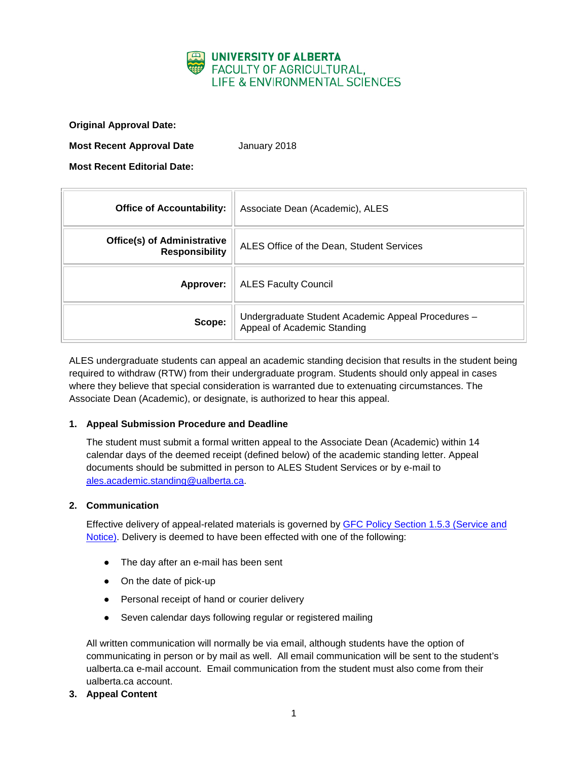

**Original Approval Date:**

**Most Recent Approval Date** January 2018

**Most Recent Editorial Date:**

| <b>Office of Accountability:</b>                            | Associate Dean (Academic), ALES                                                   |
|-------------------------------------------------------------|-----------------------------------------------------------------------------------|
| <b>Office(s) of Administrative</b><br><b>Responsibility</b> | ALES Office of the Dean, Student Services                                         |
| Approver:                                                   | <b>ALES Faculty Council</b>                                                       |
| Scope:                                                      | Undergraduate Student Academic Appeal Procedures -<br>Appeal of Academic Standing |

ALES undergraduate students can appeal an academic standing decision that results in the student being required to withdraw (RTW) from their undergraduate program. Students should only appeal in cases where they believe that special consideration is warranted due to extenuating circumstances. The Associate Dean (Academic), or designate, is authorized to hear this appeal.

## **1. Appeal Submission Procedure and Deadline**

The student must submit a formal written appeal to the Associate Dean (Academic) within 14 calendar days of the deemed receipt (defined below) of the academic standing letter. Appeal documents should be submitted in person to ALES Student Services or by e-mail to [ales.academic.standing@ualberta.ca.](mailto:ales.academic.standing@ualberta.ca)

## **2. Communication**

Effective delivery of appeal-related materials is governed by [GFC Policy Section 1.5.3 \(Service and](http://www.governance.ualberta.ca/StudentAppeals/AcademicAppealsPolicy/15AppealProcedures/153ServiceandNotice.aspx)  [Notice\).](http://www.governance.ualberta.ca/StudentAppeals/AcademicAppealsPolicy/15AppealProcedures/153ServiceandNotice.aspx) Delivery is deemed to have been effected with one of the following:

- The day after an e-mail has been sent
- On the date of pick-up
- Personal receipt of hand or courier delivery
- Seven calendar days following regular or registered mailing

All written communication will normally be via email, although students have the option of communicating in person or by mail as well. All email communication will be sent to the student's ualberta.ca e-mail account. Email communication from the student must also come from their ualberta.ca account.

**3. Appeal Content**